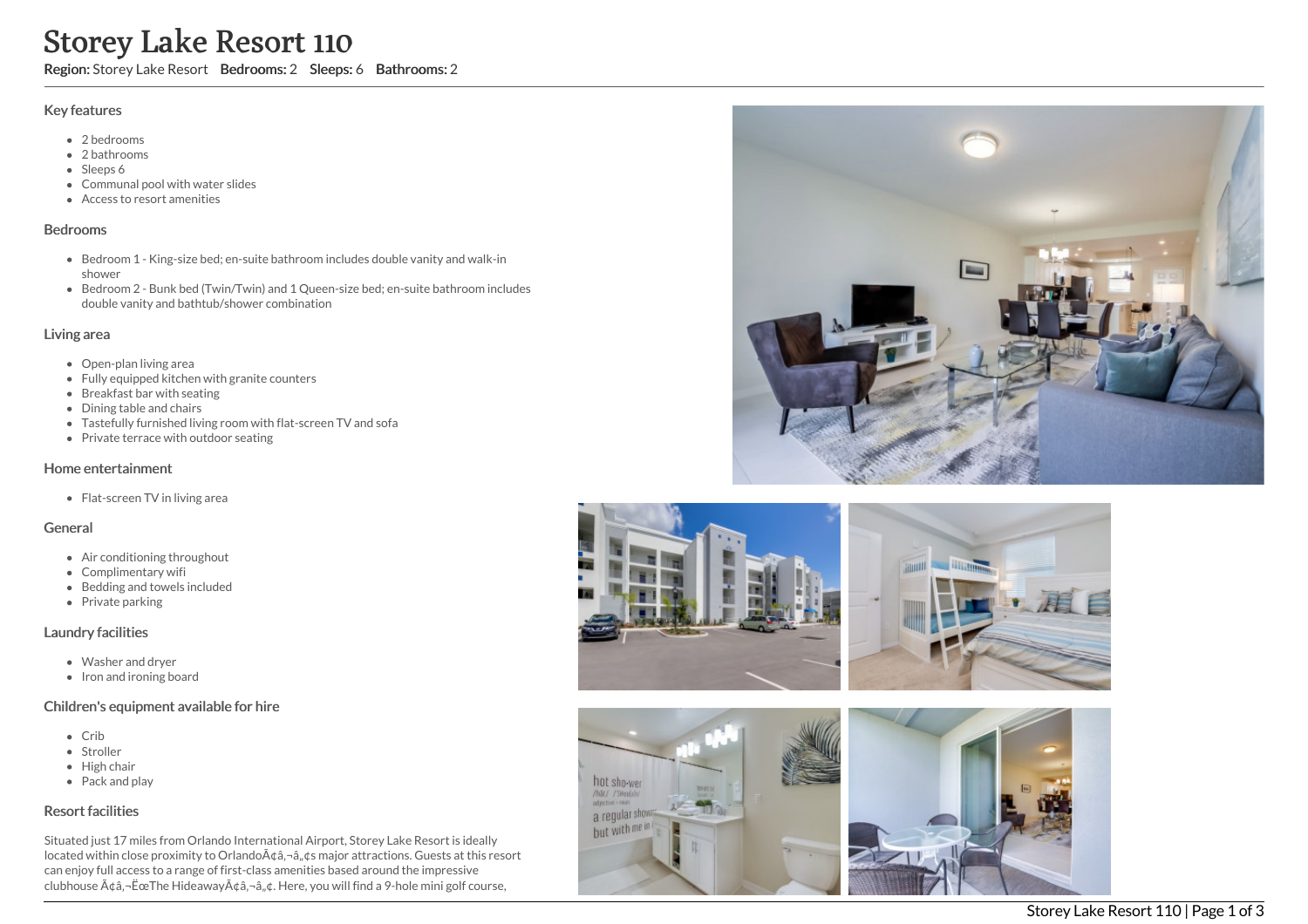# Storey Lake Resort 110

Region: Storey Lake Resort Bedrooms: 2 Sleeps: 6 Bathrooms: 2

#### Key features

- 2 bedrooms
- 2 bathrooms
- Sleeps 6
- Communal pool with water slides
- Access to resort amenities

## Bedrooms

- Bedroom 1 King-size bed; en-suite bathroom includes double vanity and walk-in shower
- Bedroom 2 Bunk bed (Twin/Twin) and 1 Queen-size bed; en-suite bathroom includes double vanity and bathtub/shower combination

## Living area

- Open-plan living area
- Fully equipped kitchen with granite counters
- Breakfast bar with seating
- Dining table and chairs
- Tastefully furnished living room with flat-screen TV and sofa
- Private terrace with outdoor seating

#### Home entertainment

Flat-screen TV in living area

## General

- Air conditioning throughout
- Complimentary wifi
- Bedding and towels included
- Private parking

## Laundry facilities

- Washer and dryer
- Iron and ironing board

## Children's equipment available for hire

- $\bullet$  Crib
- Stroller
- $\bullet$  High chair
- Pack and play

## Resort facilities

Situated just 17 miles from Orlando International Airport, Storey Lake Resort is ideally located within close proximity to Orlando $A\hat{\alpha}$ ,  $\hat{\alpha}$ ,  $\hat{\alpha}$ s major attractions. Guests at this resort can enjoy full access to a range of first-class amenities based around the impressive clubhouse  $\tilde{A} \phi \hat{a}$ ,  $-\tilde{E} \infty$ The Hideaway $\tilde{A} \phi \hat{a}$ ,  $-\hat{a}$ ,  $\phi$ . Here, you will find a 9-hole mini golf course,





hot sho-wer /hät/ /SHrutalo a regular show but with me in

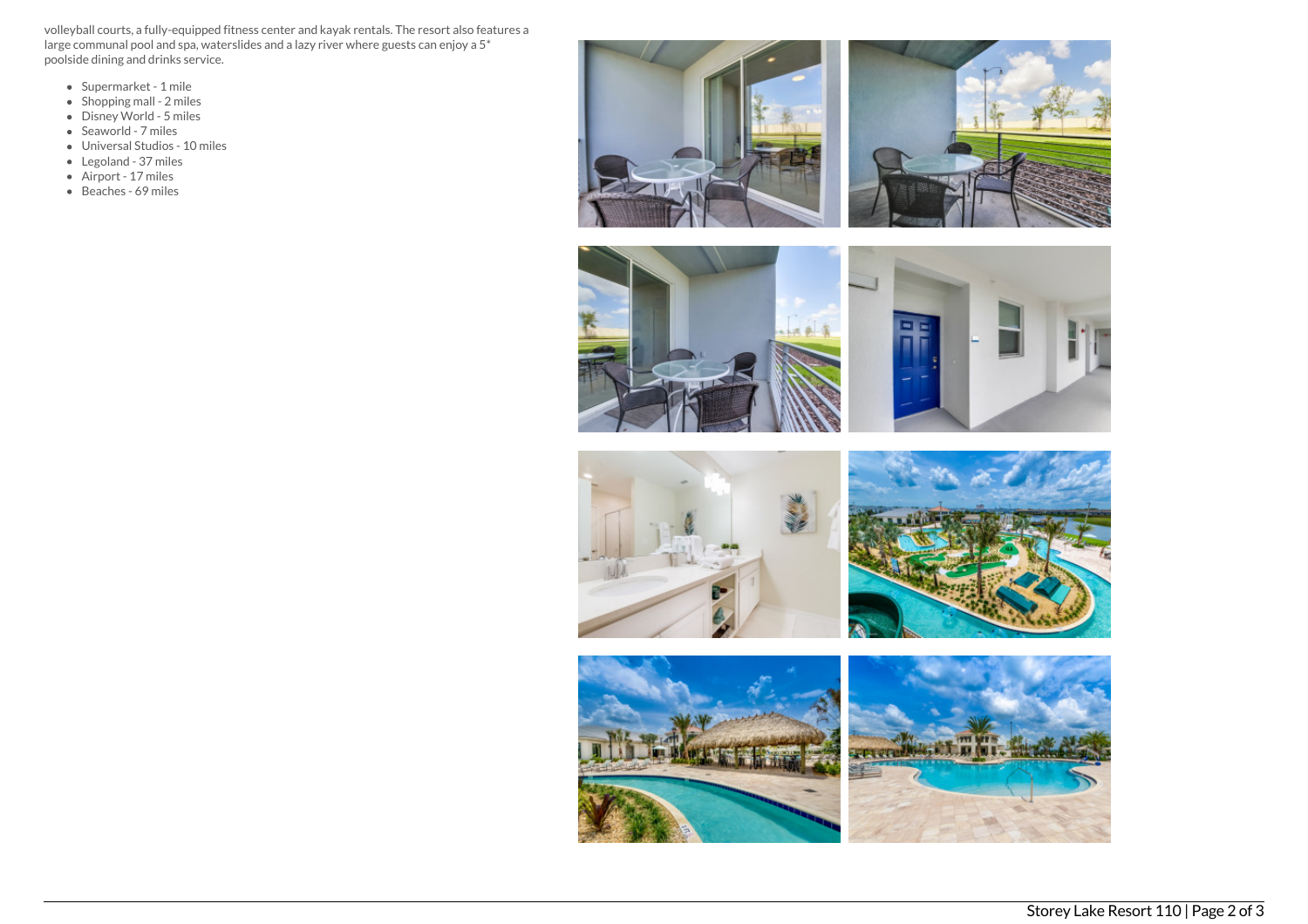volleyball courts, a fully-equipped fitness center and kayak rentals. The resort also features a large communal pool and spa, waterslides and a lazy river where guests can enjoy a 5\* poolside dining and drinks service.

- Supermarket 1 mile
- Shopping mall 2 miles
- Disney World 5 miles
- Seaworld 7 miles
- Universal Studios 10 miles
- Legoland 37 miles
- Airport 17 miles
- Beaches 69 miles